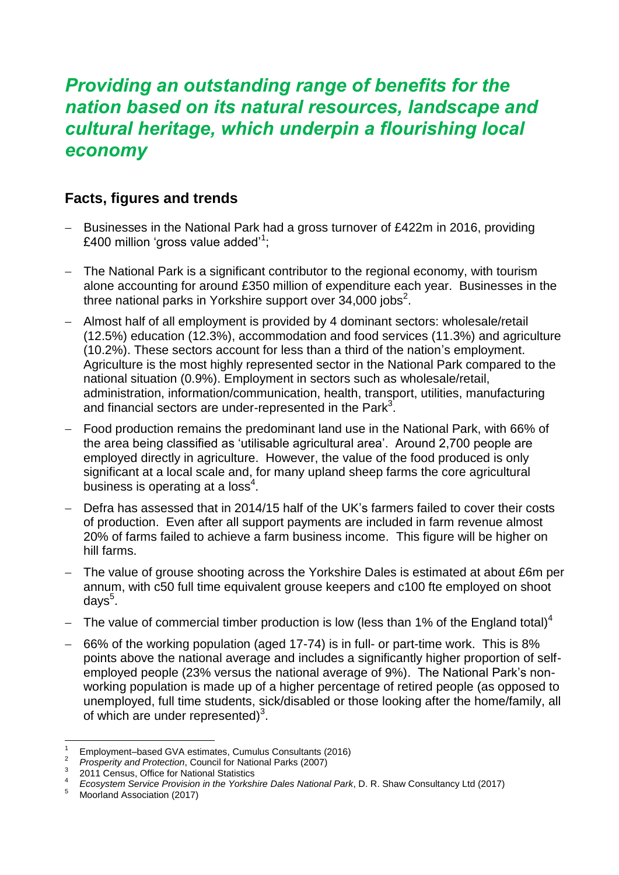## *Providing an outstanding range of benefits for the nation based on its natural resources, landscape and cultural heritage, which underpin a flourishing local economy*

## **Facts, figures and trends**

- Businesses in the National Park had a gross turnover of £422m in 2016, providing £400 million 'gross value added'<sup>1</sup>;
- The National Park is a significant contributor to the regional economy, with tourism alone accounting for around £350 million of expenditure each year. Businesses in the three national parks in Yorkshire support over 34,000 jobs<sup>2</sup>.
- Almost half of all employment is provided by 4 dominant sectors: wholesale/retail (12.5%) education (12.3%), accommodation and food services (11.3%) and agriculture (10.2%). These sectors account for less than a third of the nation's employment. Agriculture is the most highly represented sector in the National Park compared to the national situation (0.9%). Employment in sectors such as wholesale/retail, administration, information/communication, health, transport, utilities, manufacturing and financial sectors are under-represented in the Park<sup>3</sup>.
- <span id="page-0-1"></span> Food production remains the predominant land use in the National Park, with 66% of the area being classified as 'utilisable agricultural area'. Around 2,700 people are employed directly in agriculture. However, the value of the food produced is only significant at a local scale and, for many upland sheep farms the core agricultural business is operating at a loss $4$ .
- <span id="page-0-0"></span> Defra has assessed that in 2014/15 half of the UK's farmers failed to cover their costs of production. Even after all support payments are included in farm revenue almost 20% of farms failed to achieve a farm business income. This figure will be higher on hill farms.
- The value of grouse shooting across the Yorkshire Dales is estimated at about £6m per annum, with c50 full time equivalent grouse keepers and c100 fte employed on shoot days<sup>5</sup>.
- The value of commercial timber production is low (less than 1% of the England total)<sup>[4](#page-0-0)</sup>
- 66% of the working population (aged 17-74) is in full- or part-time work. This is 8% points above the national average and includes a significantly higher proportion of selfemployed people (23% versus the national average of 9%). The National Park's nonworking population is made up of a higher percentage of retired people (as opposed to unemployed, full time students, sick/disabled or those looking after the home/family, all of which are under represented) $3$ .

<sup>&</sup>lt;sup>1</sup> Employment–based GVA estimates, Cumulus Consultants (2016)<sup>2</sup><br><sup>2</sup> *Prosperity and Protection*, Council for National Parks (2007)<sup>3</sup><br><sup>3</sup> 2011 Census, Office *Provision in Statistics*<br><sup>4</sup> *Consumers Cation Provision in t* 

*Ecosystem Service Provision in the Yorkshire Dales National Park*, D. R. Shaw Consultancy Ltd (2017)

<sup>5</sup> Ecosystem Service Provision<br>Moorland Association (2017)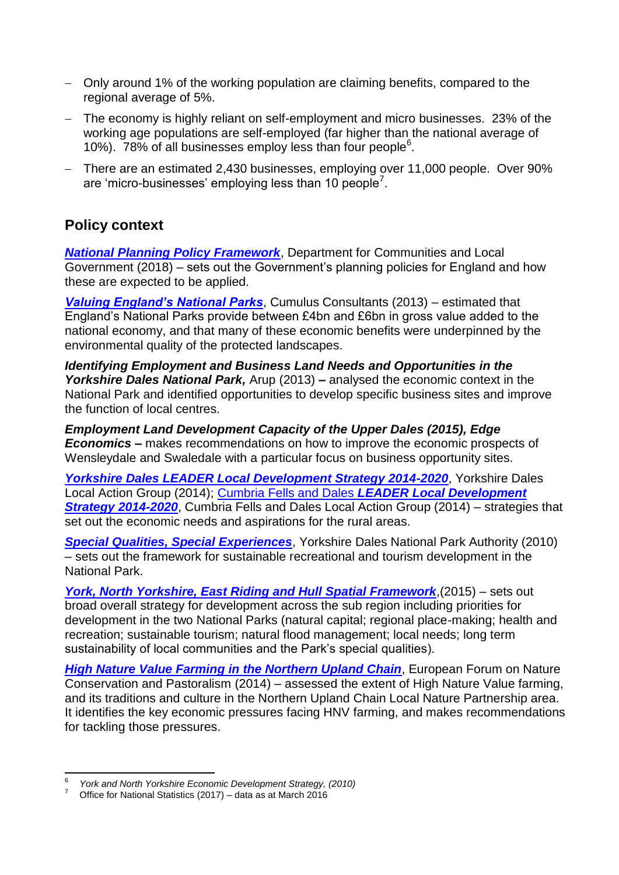- Only around 1% of the working population are claiming benefits, compared to the regional average of 5%.
- The economy is highly reliant on self-employment and micro businesses. 23% of the working age populations are self-employed (far higher than the national average of 10%). 78% of all businesses employ less than four people $6$ .
- There are an estimated 2,430 businesses, employing over 11,000 people. Over 90% are 'micro-businesses' employing less than 10 people<sup>7</sup>.

## **Policy context**

*[National Planning Policy Framework](https://assets.publishing.service.gov.uk/government/uploads/system/uploads/attachment_data/file/740441/National_Planning_Policy_Framework_web_accessible_version.pdf)*, Department for Communities and Local Government (2018) – sets out the Government's planning policies for England and how these are expected to be applied.

*[Valuing England's National Parks](http://www.nationalparksengland.org.uk/__data/assets/pdf_file/0004/717637/Valuing-Englands-National-Parks-Final-Report-10-5-13.pdf)*, Cumulus Consultants (2013) – estimated that England's National Parks provide between £4bn and £6bn in gross value added to the national economy, and that many of these economic benefits were underpinned by the environmental quality of the protected landscapes.

*Identifying Employment and Business Land Needs and Opportunities in the Yorkshire Dales National Park,* Arup (2013) *–* analysed the economic context in the National Park and identified opportunities to develop specific business sites and improve the function of local centres.

*Employment Land Development Capacity of the Upper Dales (2015), Edge Economics –* makes recommendations on how to improve the economic prospects of Wensleydale and Swaledale with a particular focus on business opportunity sites.

*[Yorkshire Dales LEADER Local Development Strategy 2014-2020](http://www.yorkshiredalesleader.co.uk/images/uploads/Yorkshire_Dales_LDS_2014-20_For_Web.pdf)*, Yorkshire Dales Local Action Group (2014); Cumbria Fells and Dales *[LEADER Local Development](http://www.fellsanddales.org.uk/uploads/6/5/2/4/65248101/final_cumbria_fells_and_dales_lds_arial_v2.pdf)  [Strategy 2014-2020](http://www.fellsanddales.org.uk/uploads/6/5/2/4/65248101/final_cumbria_fells_and_dales_lds_arial_v2.pdf)*, Cumbria Fells and Dales Local Action Group (2014) – strategies that set out the economic needs and aspirations for the rural areas.

*[Special Qualities, Special Experiences](http://www.yorkshiredales.org.uk/__data/assets/pdf_file/0011/473438/ydnpa-special-qualities-special-experiences.pdf)*, Yorkshire Dales National Park Authority (2010) – sets out the framework for sustainable recreational and tourism development in the National Park.

*[York, North Yorkshire, East Riding and Hull Spatial Framework](https://www.northyorks.gov.uk/sites/default/files/fileroot/About%20the%20council/Partnerships/York_North_Yorkshire_and_East_Riding_spatial_plan_%28Jul_2015%29.pdf)*,(2015) – sets out broad overall strategy for development across the sub region including priorities for development in the two National Parks (natural capital; regional place-making; health and recreation; sustainable tourism; natural flood management; local needs; long term sustainability of local communities and the Park's special qualities).

*[High Nature Value Farming in the Northern Upland Chain](http://www.nuclnp.org.uk/wp-content/uploads/2018/02/Northern-Uplands-Chain-HNV-Farming-Report-FINAL.pdf)*, European Forum on Nature Conservation and Pastoralism (2014) – assessed the extent of High Nature Value farming, and its traditions and culture in the Northern Upland Chain Local Nature Partnership area. It identifies the key economic pressures facing HNV farming, and makes recommendations for tackling those pressures.

<sup>—&</sup>lt;br>6 *York and North Yorkshire Economic Development Strategy, (2010)*

<sup>7</sup> Office for National Statistics (2017) – data as at March 2016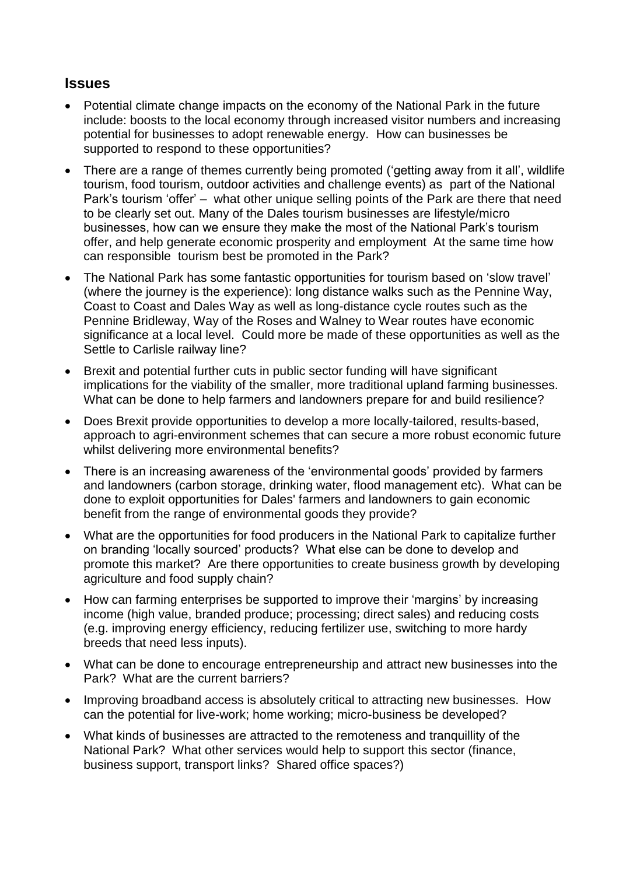## **Issues**

- Potential climate change impacts on the economy of the National Park in the future include: boosts to the local economy through increased visitor numbers and increasing potential for businesses to adopt renewable energy. How can businesses be supported to respond to these opportunities?
- There are a range of themes currently being promoted ('getting away from it all', wildlife tourism, food tourism, outdoor activities and challenge events) as part of the National Park's tourism 'offer' – what other unique selling points of the Park are there that need to be clearly set out. Many of the Dales tourism businesses are lifestyle/micro businesses, how can we ensure they make the most of the National Park's tourism offer, and help generate economic prosperity and employment At the same time how can responsible tourism best be promoted in the Park?
- The National Park has some fantastic opportunities for tourism based on 'slow travel' (where the journey is the experience): long distance walks such as the Pennine Way, Coast to Coast and Dales Way as well as long-distance cycle routes such as the Pennine Bridleway, Way of the Roses and Walney to Wear routes have economic significance at a local level. Could more be made of these opportunities as well as the Settle to Carlisle railway line?
- Brexit and potential further cuts in public sector funding will have significant implications for the viability of the smaller, more traditional upland farming businesses. What can be done to help farmers and landowners prepare for and build resilience?
- Does Brexit provide opportunities to develop a more locally-tailored, results-based, approach to agri-environment schemes that can secure a more robust economic future whilst delivering more environmental benefits?
- There is an increasing awareness of the 'environmental goods' provided by farmers and landowners (carbon storage, drinking water, flood management etc). What can be done to exploit opportunities for Dales' farmers and landowners to gain economic benefit from the range of environmental goods they provide?
- What are the opportunities for food producers in the National Park to capitalize further on branding 'locally sourced' products? What else can be done to develop and promote this market? Are there opportunities to create business growth by developing agriculture and food supply chain?
- How can farming enterprises be supported to improve their 'margins' by increasing income (high value, branded produce; processing; direct sales) and reducing costs (e.g. improving energy efficiency, reducing fertilizer use, switching to more hardy breeds that need less inputs).
- What can be done to encourage entrepreneurship and attract new businesses into the Park? What are the current barriers?
- Improving broadband access is absolutely critical to attracting new businesses. How can the potential for live-work; home working; micro-business be developed?
- What kinds of businesses are attracted to the remoteness and tranquillity of the National Park? What other services would help to support this sector (finance, business support, transport links? Shared office spaces?)